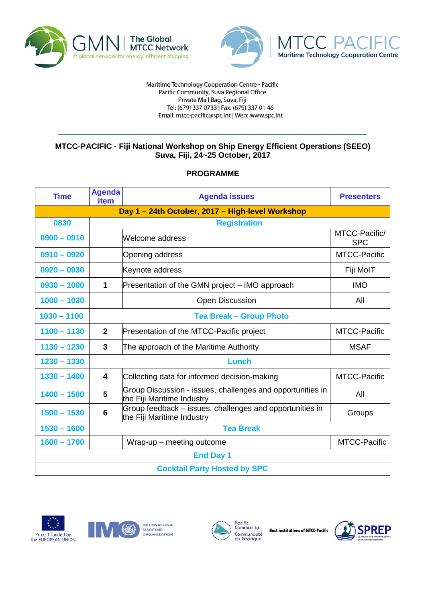



## **MTCC-PACIFIC - Fiji National Workshop on Ship Energy Efficient Operations (SEEO) Suva, Fiji, 24~25 October, 2017**

| <b>Time</b>                         | <b>Agenda</b><br>item          | <b>Agenda issues</b>                                                                     | <b>Presenters</b> |  |
|-------------------------------------|--------------------------------|------------------------------------------------------------------------------------------|-------------------|--|
|                                     |                                | Day 1 - 24th October, 2017 - High-level Workshop                                         |                   |  |
| 0830                                | <b>Registration</b>            |                                                                                          |                   |  |
| $0900 - 0910$                       |                                | Welcome address                                                                          |                   |  |
| $0910 - 0920$                       |                                | Opening address                                                                          | MTCC-Pacific      |  |
| $0920 - 0930$                       |                                | Keynote address                                                                          | Fiji MoIT         |  |
| $0930 - 1000$                       | 1                              | Presentation of the GMN project – IMO approach                                           | <b>IMO</b>        |  |
| $1000 - 1030$                       |                                | Open Discussion                                                                          | All               |  |
| $1030 - 1100$                       | <b>Tea Break - Group Photo</b> |                                                                                          |                   |  |
| $1100 - 1130$                       | $\mathbf{2}$                   | Presentation of the MTCC-Pacific project                                                 | MTCC-Pacific      |  |
| $1130 - 1230$                       | 3                              | The approach of the Maritime Authority                                                   | <b>MSAF</b>       |  |
| $1230 - 1330$                       | Lunch                          |                                                                                          |                   |  |
| $1330 - 1400$                       | 4                              | Collecting data for informed decision-making                                             | MTCC-Pacific      |  |
| $1400 - 1500$                       | 5                              | Group Discussion - issues, challenges and opportunities in<br>the Fiji Maritime Industry | All               |  |
| $1500 - 1530$                       | 6                              | Group feedback – issues, challenges and opportunities in<br>the Fiji Maritime Industry   | Groups            |  |
| $1530 - 1600$                       | <b>Tea Break</b>               |                                                                                          |                   |  |
| $1600 - 1700$                       |                                | $W$ rap-up $-$ meeting outcome                                                           | MTCC-Pacific      |  |
| <b>End Day 1</b>                    |                                |                                                                                          |                   |  |
| <b>Cocktail Party Hosted by SPC</b> |                                |                                                                                          |                   |  |







Pacific<br>Community Communauté<br>du Pacifique

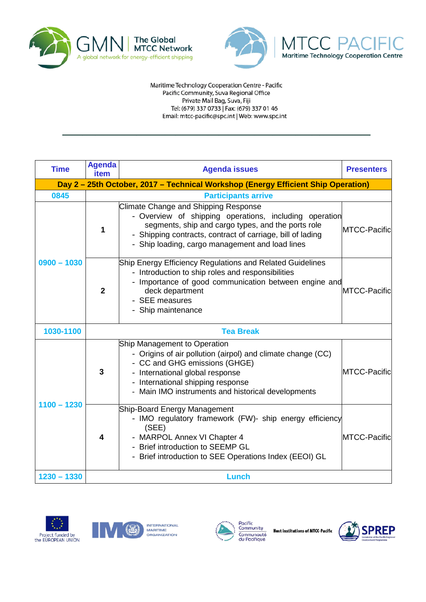



| <b>Time</b>   | <b>Agenda</b><br>item                                                             | <b>Agenda issues</b>                                                                                                                                                                                                                                                  | <b>Presenters</b>   |
|---------------|-----------------------------------------------------------------------------------|-----------------------------------------------------------------------------------------------------------------------------------------------------------------------------------------------------------------------------------------------------------------------|---------------------|
|               | Day 2 - 25th October, 2017 - Technical Workshop (Energy Efficient Ship Operation) |                                                                                                                                                                                                                                                                       |                     |
| 0845          |                                                                                   | <b>Participants arrive</b>                                                                                                                                                                                                                                            |                     |
| $0900 - 1030$ | 1                                                                                 | Climate Change and Shipping Response<br>- Overview of shipping operations, including operation<br>segments, ship and cargo types, and the ports role<br>- Shipping contracts, contract of carriage, bill of lading<br>- Ship loading, cargo management and load lines | <b>MTCC-Pacific</b> |
|               | $\overline{2}$                                                                    | Ship Energy Efficiency Regulations and Related Guidelines<br>- Introduction to ship roles and responsibilities<br>- Importance of good communication between engine and<br>deck department<br>- SEE measures<br>- Ship maintenance                                    | <b>MTCC-Pacific</b> |
| 1030-1100     |                                                                                   | <b>Tea Break</b>                                                                                                                                                                                                                                                      |                     |
| $1100 - 1230$ | 3                                                                                 | Ship Management to Operation<br>- Origins of air pollution (airpol) and climate change (CC)<br>- CC and GHG emissions (GHGE)<br>- International global response<br>- International shipping response<br>- Main IMO instruments and historical developments            | <b>MTCC-Pacific</b> |
|               | 4                                                                                 | Ship-Board Energy Management<br>- IMO regulatory framework (FW)- ship energy efficiency<br>(SEE)<br>- MARPOL Annex VI Chapter 4<br>- Brief introduction to SEEMP GL<br>- Brief introduction to SEE Operations Index (EEOI) GL                                         | <b>MTCC-Pacific</b> |
| $1230 - 1330$ |                                                                                   | <b>Lunch</b>                                                                                                                                                                                                                                                          |                     |







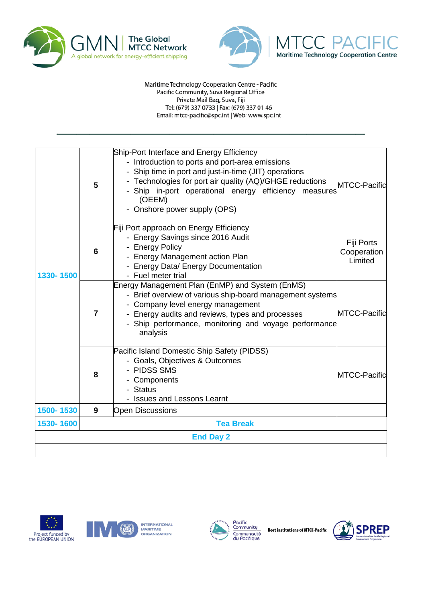





| 1330-1500 | 5 | Ship-Port Interface and Energy Efficiency<br>- Introduction to ports and port-area emissions<br>- Ship time in port and just-in-time (JIT) operations<br>- Technologies for port air quality (AQ)/GHGE reductions<br>- Ship in-port operational energy efficiency measures<br>(OEEM)<br>- Onshore power supply (OPS) | <b>MTCC-Pacific</b>                  |
|-----------|---|----------------------------------------------------------------------------------------------------------------------------------------------------------------------------------------------------------------------------------------------------------------------------------------------------------------------|--------------------------------------|
|           | 6 | Fiji Port approach on Energy Efficiency<br>- Energy Savings since 2016 Audit<br>- Energy Policy<br>- Energy Management action Plan<br>- Energy Data/ Energy Documentation<br>- Fuel meter trial                                                                                                                      | Fiji Ports<br>Cooperation<br>Limited |
|           | 7 | Energy Management Plan (EnMP) and System (EnMS)<br>- Brief overview of various ship-board management systems<br>- Company level energy management<br>- Energy audits and reviews, types and processes<br>- Ship performance, monitoring and voyage performance<br>analysis                                           | <b>MTCC-Pacific</b>                  |
|           | 8 | Pacific Island Domestic Ship Safety (PIDSS)<br>- Goals, Objectives & Outcomes<br>- PIDSS SMS<br>Components<br><b>Status</b><br><b>Issues and Lessons Learnt</b>                                                                                                                                                      | <b>MTCC-Pacific</b>                  |
| 1500-1530 | 9 | <b>Open Discussions</b>                                                                                                                                                                                                                                                                                              |                                      |
| 1530-1600 |   | <b>Tea Break</b>                                                                                                                                                                                                                                                                                                     |                                      |
|           |   | <b>End Day 2</b>                                                                                                                                                                                                                                                                                                     |                                      |
|           |   |                                                                                                                                                                                                                                                                                                                      |                                      |





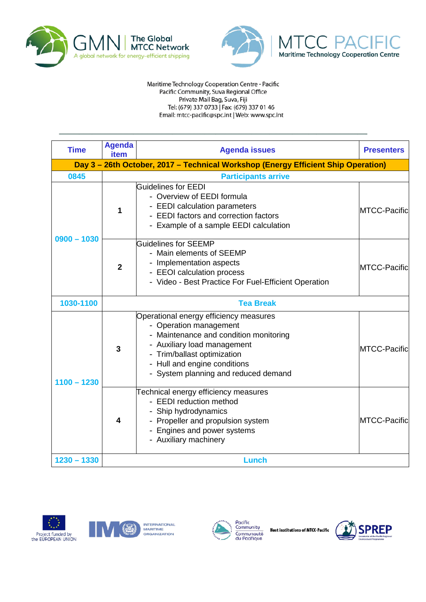



| <b>Time</b>   | <b>Agenda</b><br>item                                                             | <b>Agenda issues</b>                                                                                                                                                                                                                             | <b>Presenters</b>   |  |
|---------------|-----------------------------------------------------------------------------------|--------------------------------------------------------------------------------------------------------------------------------------------------------------------------------------------------------------------------------------------------|---------------------|--|
|               | Day 3 - 26th October, 2017 - Technical Workshop (Energy Efficient Ship Operation) |                                                                                                                                                                                                                                                  |                     |  |
| 0845          |                                                                                   | <b>Participants arrive</b>                                                                                                                                                                                                                       |                     |  |
| $0900 - 1030$ | 1                                                                                 | Guidelines for EEDI<br>- Overview of EEDI formula<br>- EEDI calculation parameters<br>- EEDI factors and correction factors<br>- Example of a sample EEDI calculation                                                                            | <b>MTCC-Pacific</b> |  |
|               | $\overline{2}$                                                                    | <b>Guidelines for SEEMP</b><br>- Main elements of SEEMP<br>- Implementation aspects<br>- EEOI calculation process<br>- Video - Best Practice For Fuel-Efficient Operation                                                                        | <b>MTCC-Pacific</b> |  |
| 1030-1100     |                                                                                   | <b>Tea Break</b>                                                                                                                                                                                                                                 |                     |  |
| $1100 - 1230$ | 3                                                                                 | Operational energy efficiency measures<br>- Operation management<br>- Maintenance and condition monitoring<br>- Auxiliary load management<br>- Trim/ballast optimization<br>- Hull and engine conditions<br>- System planning and reduced demand | <b>MTCC-Pacific</b> |  |
|               | 4                                                                                 | Technical energy efficiency measures<br>- EEDI reduction method<br>- Ship hydrodynamics<br>- Propeller and propulsion system<br>- Engines and power systems<br>- Auxiliary machinery                                                             | <b>MTCC-Pacific</b> |  |
| $1230 - 1330$ |                                                                                   | <b>Lunch</b>                                                                                                                                                                                                                                     |                     |  |





INTERNATIONAL<br>MARITIME<br>ORGANIZATION



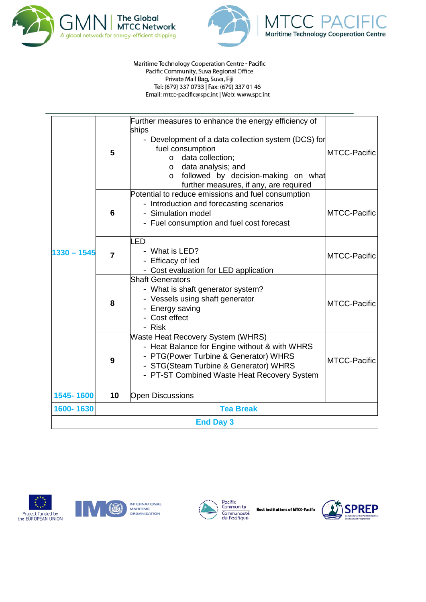



|                  |                | Further measures to enhance the energy efficiency of<br>ships                                                                                                                                                                       |              |  |
|------------------|----------------|-------------------------------------------------------------------------------------------------------------------------------------------------------------------------------------------------------------------------------------|--------------|--|
| $1330 - 1545$    | 5              | - Development of a data collection system (DCS) for<br>fuel consumption<br>data collection;<br>$\circ$<br>data analysis; and<br>$\circ$<br>followed by decision-making on what<br>$\circ$<br>further measures, if any, are required | MTCC-Pacific |  |
|                  | 6              | Potential to reduce emissions and fuel consumption<br>- Introduction and forecasting scenarios<br>- Simulation model<br>- Fuel consumption and fuel cost forecast                                                                   | MTCC-Pacific |  |
|                  | $\overline{7}$ | LED<br>- What is LED?<br>- Efficacy of led<br>- Cost evaluation for LED application                                                                                                                                                 | MTCC-Pacific |  |
|                  | 8              | <b>Shaft Generators</b><br>- What is shaft generator system?<br>- Vessels using shaft generator<br>- Energy saving<br>- Cost effect<br>- Risk                                                                                       | MTCC-Pacific |  |
|                  | 9              | Waste Heat Recovery System (WHRS)<br>- Heat Balance for Engine without & with WHRS<br>- PTG(Power Turbine & Generator) WHRS<br>- STG(Steam Turbine & Generator) WHRS<br>- PT-ST Combined Waste Heat Recovery System                 | MTCC-Pacific |  |
| 1545-1600        | 10             | <b>Open Discussions</b>                                                                                                                                                                                                             |              |  |
| 1600-1630        |                | <b>Tea Break</b>                                                                                                                                                                                                                    |              |  |
| <b>End Day 3</b> |                |                                                                                                                                                                                                                                     |              |  |